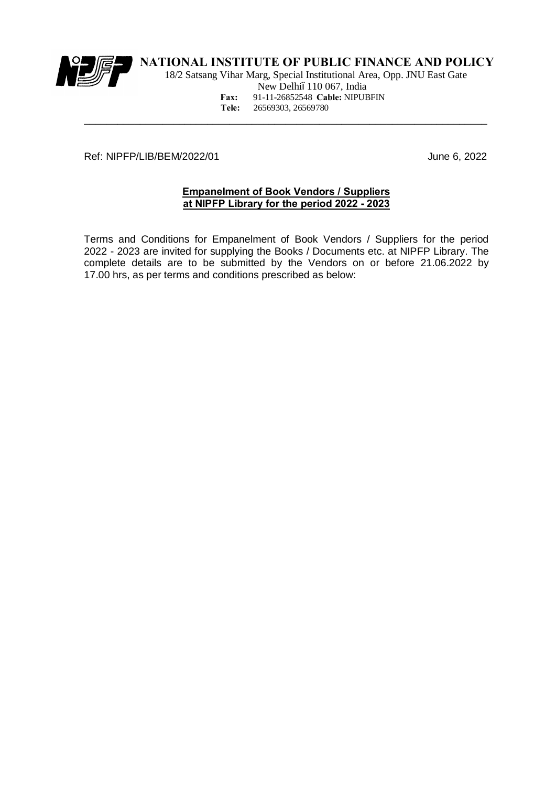

 18/2 Satsang Vihar Marg, Special Institutional Area, Opp. JNU East Gate New Delhió110 067, India **Fax:** 91-11-26852548 **Cable:** NIPUBFIN **Tele:** 26569303, 26569780

Ref: NIPFP/LIB/BEM/2022/01 June 6, 2022

#### **Empanelment of Book Vendors / Suppliers at NIPFP Library for the period 2022 - 2023**

\_\_\_\_\_\_\_\_\_\_\_\_\_\_\_\_\_\_\_\_\_\_\_\_\_\_\_\_\_\_\_\_\_\_\_\_\_\_\_\_\_\_\_\_\_\_\_\_\_\_\_\_\_\_\_\_\_\_\_\_\_\_\_\_\_\_\_\_\_\_\_\_

Terms and Conditions for Empanelment of Book Vendors / Suppliers for the period 2022 - 2023 are invited for supplying the Books / Documents etc. at NIPFP Library. The complete details are to be submitted by the Vendors on or before 21.06.2022 by 17.00 hrs, as per terms and conditions prescribed as below: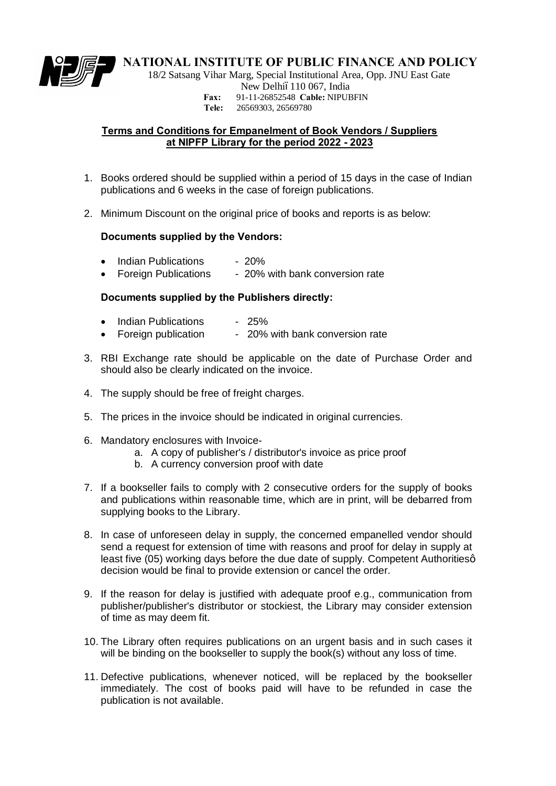

18/2 Satsang Vihar Marg, Special Institutional Area, Opp. JNU East Gate

New Delhió110 067, India

**Fax:** 91-11-26852548 **Cable:** NIPUBFIN

**Tele:** 26569303, 26569780

#### **Terms and Conditions for Empanelment of Book Vendors / Suppliers at NIPFP Library for the period 2022 - 2023**

- 1. Books ordered should be supplied within a period of 15 days in the case of Indian publications and 6 weeks in the case of foreign publications.
- 2. Minimum Discount on the original price of books and reports is as below:

#### **Documents supplied by the Vendors:**

- Indian Publications 20%
- Foreign Publications 20% with bank conversion rate

#### **Documents supplied by the Publishers directly:**

- Indian Publications 25%
- Foreign publication 20% with bank conversion rate
- 3. RBI Exchange rate should be applicable on the date of Purchase Order and should also be clearly indicated on the invoice.
- 4. The supply should be free of freight charges.
- 5. The prices in the invoice should be indicated in original currencies.
- 6. Mandatory enclosures with Invoice
	- a. A copy of publisher's / distributor's invoice as price proof
	- b. A currency conversion proof with date
- 7. If a bookseller fails to comply with 2 consecutive orders for the supply of books and publications within reasonable time, which are in print, will be debarred from supplying books to the Library.
- 8. In case of unforeseen delay in supply, the concerned empanelled vendor should send a request for extension of time with reasons and proof for delay in supply at least five (05) working days before the due date of supply. Competent Authoritiesq decision would be final to provide extension or cancel the order.
- 9. If the reason for delay is justified with adequate proof e.g., communication from publisher/publisher's distributor or stockiest, the Library may consider extension of time as may deem fit.
- 10. The Library often requires publications on an urgent basis and in such cases it will be binding on the bookseller to supply the book(s) without any loss of time.
- 11. Defective publications, whenever noticed, will be replaced by the bookseller immediately. The cost of books paid will have to be refunded in case the publication is not available.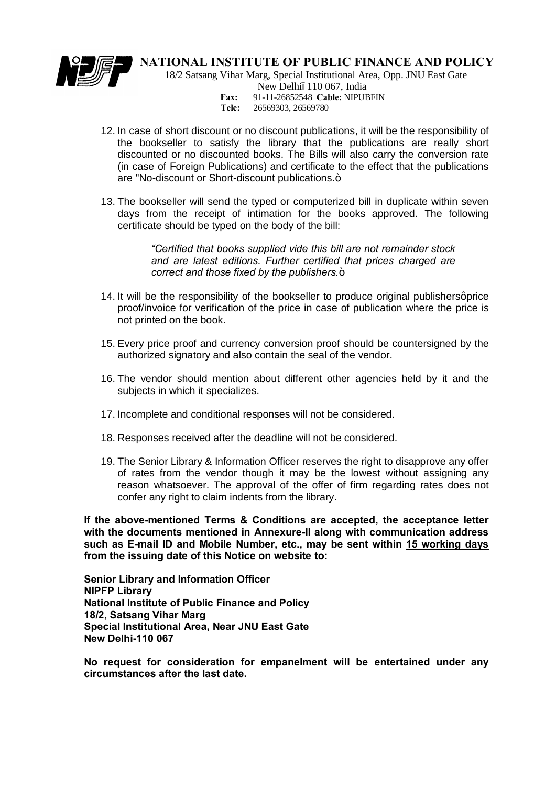

18/2 Satsang Vihar Marg, Special Institutional Area, Opp. JNU East Gate

New Delhió110 067, India

**Fax:** 91-11-26852548 **Cable:** NIPUBFIN

- **Tele:** 26569303, 26569780
- 12. In case of short discount or no discount publications, it will be the responsibility of the bookseller to satisfy the library that the publications are really short discounted or no discounted books. The Bills will also carry the conversion rate (in case of Foreign Publications) and certificate to the effect that the publications are "No-discount or Short-discount publications.+
- 13. The bookseller will send the typed or computerized bill in duplicate within seven days from the receipt of intimation for the books approved. The following certificate should be typed on the body of the bill:

*"Certified that books supplied vide this bill are not remainder stock and are latest editions. Further certified that prices charged are correct and those fixed by the publishers.*+

- 14. It will be the responsibility of the bookseller to produce original publishers aprice proof/invoice for verification of the price in case of publication where the price is not printed on the book.
- 15. Every price proof and currency conversion proof should be countersigned by the authorized signatory and also contain the seal of the vendor.
- 16. The vendor should mention about different other agencies held by it and the subjects in which it specializes.
- 17. Incomplete and conditional responses will not be considered.
- 18. Responses received after the deadline will not be considered.
- 19. The Senior Library & Information Officer reserves the right to disapprove any offer of rates from the vendor though it may be the lowest without assigning any reason whatsoever. The approval of the offer of firm regarding rates does not confer any right to claim indents from the library.

**If the above-mentioned Terms & Conditions are accepted, the acceptance letter with the documents mentioned in Annexure-II along with communication address such as E-mail ID and Mobile Number, etc., may be sent within 15 working days from the issuing date of this Notice on website to:**

**Senior Library and Information Officer NIPFP Library National Institute of Public Finance and Policy 18/2, Satsang Vihar Marg Special Institutional Area, Near JNU East Gate New Delhi-110 067**

**No request for consideration for empanelment will be entertained under any circumstances after the last date.**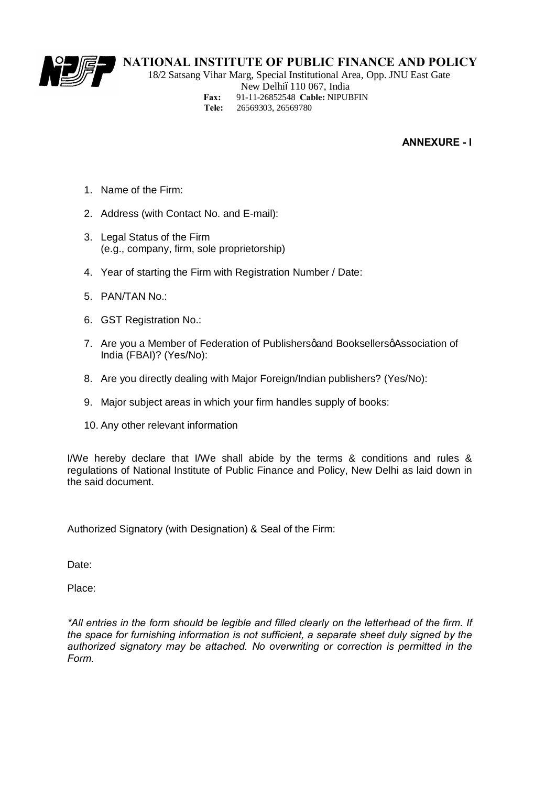

 18/2 Satsang Vihar Marg, Special Institutional Area, Opp. JNU East Gate New Delhió110 067, India **Fax:** 91-11-26852548 **Cable:** NIPUBFIN **Tele:** 26569303, 26569780

**ANNEXURE - I**

- 1. Name of the Firm:
- 2. Address (with Contact No. and E-mail):
- 3. Legal Status of the Firm (e.g., company, firm, sole proprietorship)
- 4. Year of starting the Firm with Registration Number / Date:
- 5. PAN/TAN No.:
- 6. GST Registration No.:
- 7. Are you a Member of Federation of Publishersgand BooksellersgAssociation of India (FBAI)? (Yes/No):
- 8. Are you directly dealing with Major Foreign/Indian publishers? (Yes/No):
- 9. Major subject areas in which your firm handles supply of books:
- 10. Any other relevant information

I/We hereby declare that I/We shall abide by the terms & conditions and rules & regulations of National Institute of Public Finance and Policy, New Delhi as laid down in the said document.

Authorized Signatory (with Designation) & Seal of the Firm:

Date:

Place:

*\*All entries in the form should be legible and filled clearly on the letterhead of the firm. If the space for furnishing information is not sufficient, a separate sheet duly signed by the authorized signatory may be attached. No overwriting or correction is permitted in the Form.*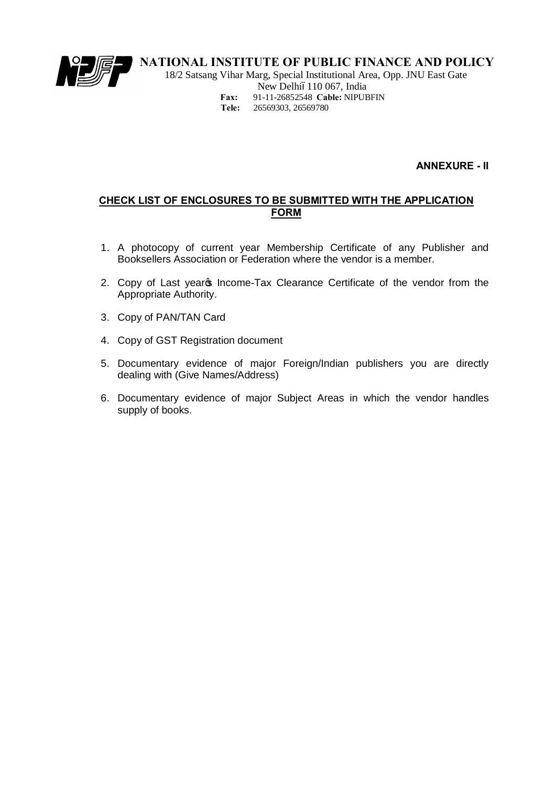

 18/2 Satsang Vihar Marg, Special Institutional Area, Opp. JNU East Gate New Delhió110 067, India **Fax:** 91-11-26852548 **Cable:** NIPUBFIN **Tele:** 26569303, 26569780

**ANNEXURE - II**

### **CHECK LIST OF ENCLOSURES TO BE SUBMITTED WITH THE APPLICATION FORM**

- 1. A photocopy of current year Membership Certificate of any Publisher and Booksellers Association or Federation where the vendor is a member.
- 2. Copy of Last years Income-Tax Clearance Certificate of the vendor from the Appropriate Authority.
- 3. Copy of PAN/TAN Card
- 4. Copy of GST Registration document
- 5. Documentary evidence of major Foreign/Indian publishers you are directly dealing with (Give Names/Address)
- 6. Documentary evidence of major Subject Areas in which the vendor handles supply of books.